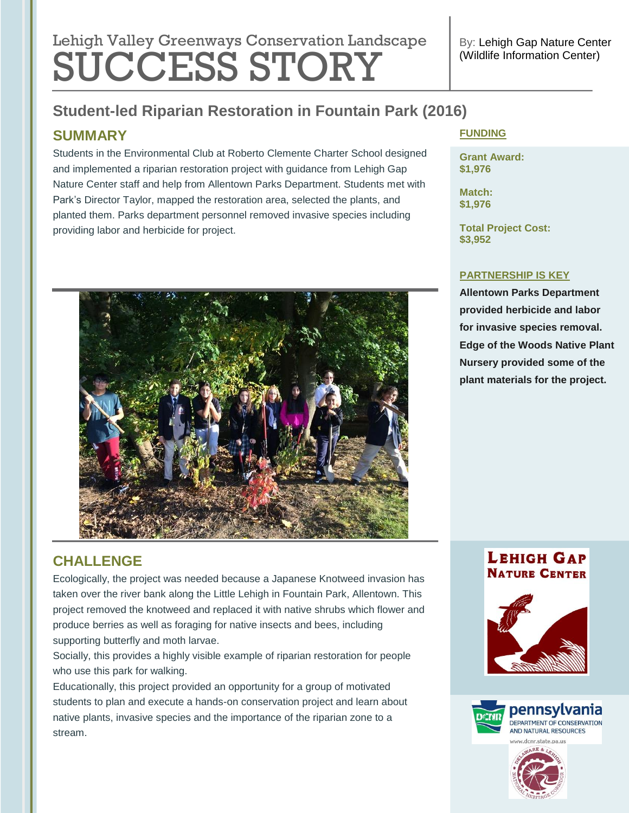# Lehigh Valley Greenways Conservation Landscape SUCCESS STORY

## **Student-led Riparian Restoration in Fountain Park (2016)**

## **SUMMARY**

Students in the Environmental Club at Roberto Clemente Charter School designed and implemented a riparian restoration project with guidance from Lehigh Gap Nature Center staff and help from Allentown Parks Department. Students met with Park's Director Taylor, mapped the restoration area, selected the plants, and planted them. Parks department personnel removed invasive species including providing labor and herbicide for project.



## **CHALLENGE**

Ecologically, the project was needed because a Japanese Knotweed invasion has taken over the river bank along the Little Lehigh in Fountain Park, Allentown. This project removed the knotweed and replaced it with native shrubs which flower and produce berries as well as foraging for native insects and bees, including supporting butterfly and moth larvae.

Socially, this provides a highly visible example of riparian restoration for people who use this park for walking.

Educationally, this project provided an opportunity for a group of motivated students to plan and execute a hands-on conservation project and learn about native plants, invasive species and the importance of the riparian zone to a stream.

#### **FUNDING**

**Grant Award: \$1,976**

**Match: \$1,976**

**Total Project Cost: \$3,952**

#### **PARTNERSHIP IS KEY**

**Allentown Parks Department provided herbicide and labor for invasive species removal. Edge of the Woods Native Plant Nursery provided some of the plant materials for the project.**

#### **LEHIGH GAP NATURE CENTER**